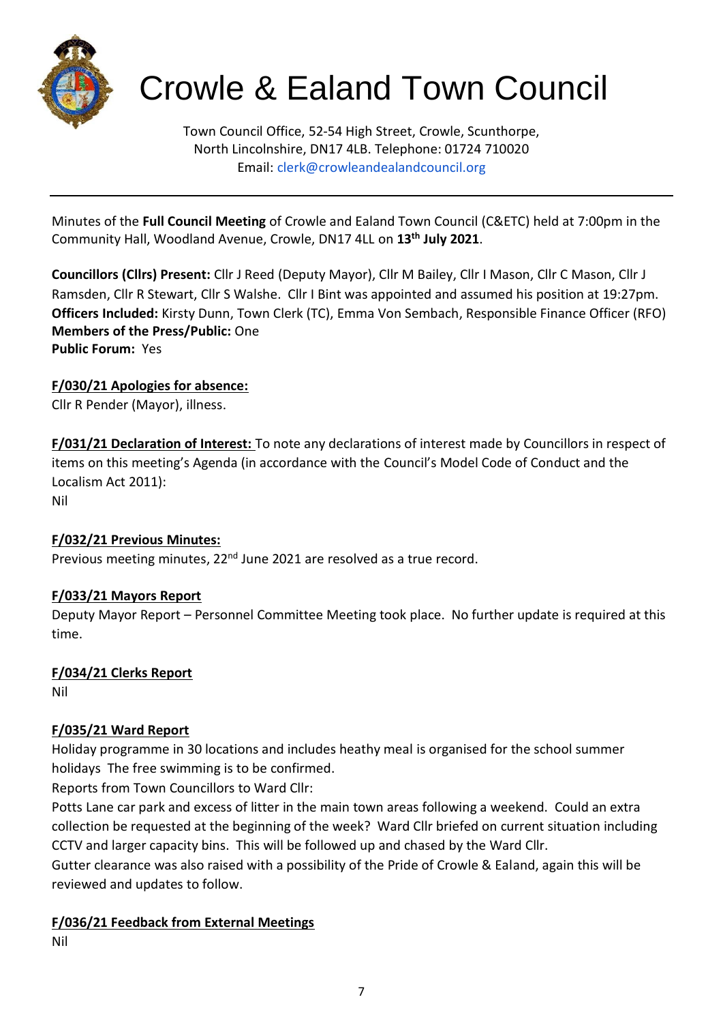

# Crowle & Ealand Town Council

Town Council Office, 52-54 High Street, Crowle, Scunthorpe, North Lincolnshire, DN17 4LB. Telephone: 01724 710020 Email: clerk@crowleandealandcouncil.org

Minutes of the **Full Council Meeting** of Crowle and Ealand Town Council (C&ETC) held at 7:00pm in the Community Hall, Woodland Avenue, Crowle, DN17 4LL on **13th July 2021**.

**Councillors (Cllrs) Present:** Cllr J Reed (Deputy Mayor), Cllr M Bailey, Cllr I Mason, Cllr C Mason, Cllr J Ramsden, Cllr R Stewart, Cllr S Walshe. Cllr I Bint was appointed and assumed his position at 19:27pm. **Officers Included:** Kirsty Dunn, Town Clerk (TC), Emma Von Sembach, Responsible Finance Officer (RFO) **Members of the Press/Public:** One **Public Forum:** Yes

## **F/030/21 Apologies for absence:**

Cllr R Pender (Mayor), illness.

**F/031/21 Declaration of Interest:** To note any declarations of interest made by Councillors in respect of items on this meeting's Agenda (in accordance with the Council's Model Code of Conduct and the Localism Act 2011):

Nil

## **F/032/21 Previous Minutes:**

Previous meeting minutes, 22<sup>nd</sup> June 2021 are resolved as a true record.

## **F/033/21 Mayors Report**

Deputy Mayor Report – Personnel Committee Meeting took place. No further update is required at this time.

#### **F/034/21 Clerks Report**

Nil

## **F/035/21 Ward Report**

Holiday programme in 30 locations and includes heathy meal is organised for the school summer holidays The free swimming is to be confirmed.

Reports from Town Councillors to Ward Cllr:

Potts Lane car park and excess of litter in the main town areas following a weekend. Could an extra collection be requested at the beginning of the week? Ward Cllr briefed on current situation including CCTV and larger capacity bins. This will be followed up and chased by the Ward Cllr.

Gutter clearance was also raised with a possibility of the Pride of Crowle & Ealand, again this will be reviewed and updates to follow.

## **F/036/21 Feedback from External Meetings**

Nil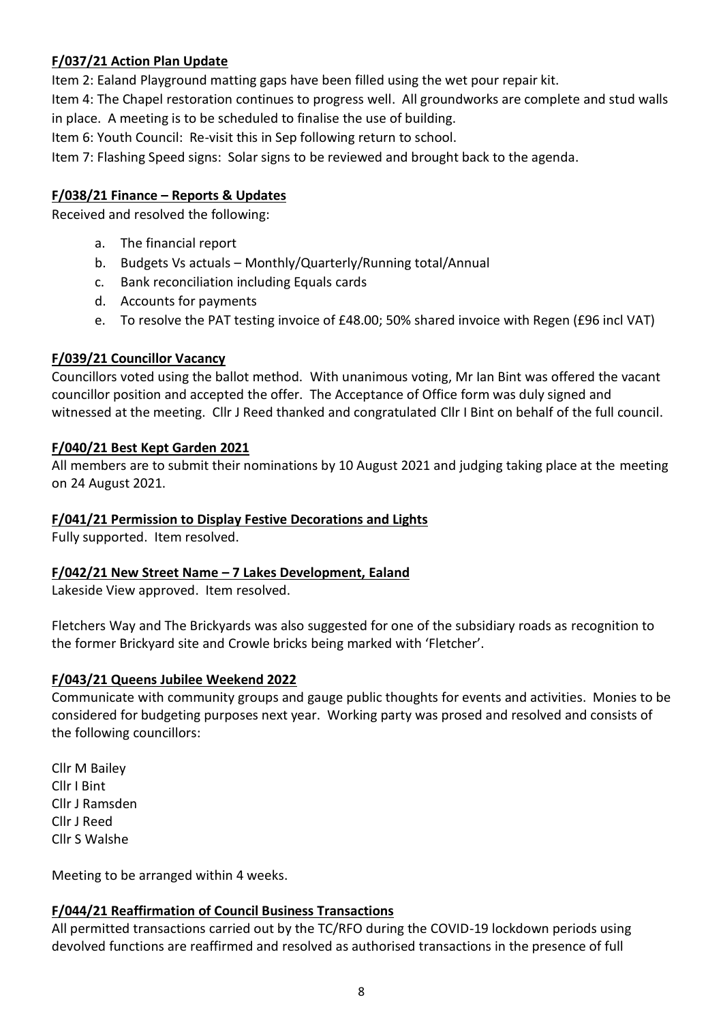## **F/037/21 Action Plan Update**

Item 2: Ealand Playground matting gaps have been filled using the wet pour repair kit.

Item 4: The Chapel restoration continues to progress well. All groundworks are complete and stud walls in place. A meeting is to be scheduled to finalise the use of building.

Item 6: Youth Council: Re-visit this in Sep following return to school.

Item 7: Flashing Speed signs: Solar signs to be reviewed and brought back to the agenda.

## **F/038/21 Finance – Reports & Updates**

Received and resolved the following:

- a. The financial report
- b. Budgets Vs actuals Monthly/Quarterly/Running total/Annual
- c. Bank reconciliation including Equals cards
- d. Accounts for payments
- e. To resolve the PAT testing invoice of £48.00; 50% shared invoice with Regen (£96 incl VAT)

#### **F/039/21 Councillor Vacancy**

Councillors voted using the ballot method. With unanimous voting, Mr Ian Bint was offered the vacant councillor position and accepted the offer. The Acceptance of Office form was duly signed and witnessed at the meeting. Cllr J Reed thanked and congratulated Cllr I Bint on behalf of the full council.

#### **F/040/21 Best Kept Garden 2021**

All members are to submit their nominations by 10 August 2021 and judging taking place at the meeting on 24 August 2021.

#### **F/041/21 Permission to Display Festive Decorations and Lights**

Fully supported. Item resolved.

#### **F/042/21 New Street Name – 7 Lakes Development, Ealand**

Lakeside View approved. Item resolved.

Fletchers Way and The Brickyards was also suggested for one of the subsidiary roads as recognition to the former Brickyard site and Crowle bricks being marked with 'Fletcher'.

#### **F/043/21 Queens Jubilee Weekend 2022**

Communicate with community groups and gauge public thoughts for events and activities. Monies to be considered for budgeting purposes next year. Working party was prosed and resolved and consists of the following councillors:

Cllr M Bailey Cllr I Bint Cllr J Ramsden Cllr J Reed Cllr S Walshe

Meeting to be arranged within 4 weeks.

#### **F/044/21 Reaffirmation of Council Business Transactions**

All permitted transactions carried out by the TC/RFO during the COVID-19 lockdown periods using devolved functions are reaffirmed and resolved as authorised transactions in the presence of full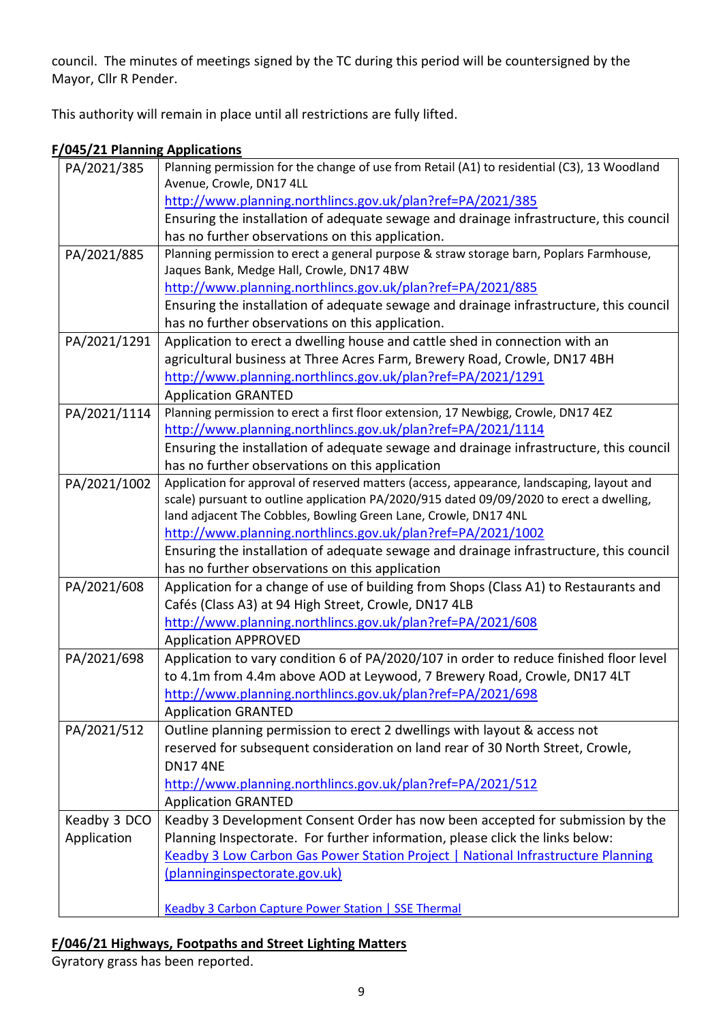council. The minutes of meetings signed by the TC during this period will be countersigned by the Mayor, Cllr R Pender.

This authority will remain in place until all restrictions are fully lifted.

#### **F/045/21 Planning Applications**

| PA/2021/385  | Planning permission for the change of use from Retail (A1) to residential (C3), 13 Woodland                                          |
|--------------|--------------------------------------------------------------------------------------------------------------------------------------|
|              | Avenue, Crowle, DN17 4LL                                                                                                             |
|              | http://www.planning.northlincs.gov.uk/plan?ref=PA/2021/385                                                                           |
|              | Ensuring the installation of adequate sewage and drainage infrastructure, this council                                               |
|              | has no further observations on this application.                                                                                     |
| PA/2021/885  | Planning permission to erect a general purpose & straw storage barn, Poplars Farmhouse,<br>Jaques Bank, Medge Hall, Crowle, DN17 4BW |
|              | http://www.planning.northlincs.gov.uk/plan?ref=PA/2021/885                                                                           |
|              | Ensuring the installation of adequate sewage and drainage infrastructure, this council                                               |
|              | has no further observations on this application.                                                                                     |
| PA/2021/1291 | Application to erect a dwelling house and cattle shed in connection with an                                                          |
|              | agricultural business at Three Acres Farm, Brewery Road, Crowle, DN17 4BH                                                            |
|              | http://www.planning.northlincs.gov.uk/plan?ref=PA/2021/1291                                                                          |
|              | <b>Application GRANTED</b>                                                                                                           |
| PA/2021/1114 | Planning permission to erect a first floor extension, 17 Newbigg, Crowle, DN17 4EZ                                                   |
|              | http://www.planning.northlincs.gov.uk/plan?ref=PA/2021/1114                                                                          |
|              | Ensuring the installation of adequate sewage and drainage infrastructure, this council                                               |
|              | has no further observations on this application                                                                                      |
| PA/2021/1002 | Application for approval of reserved matters (access, appearance, landscaping, layout and                                            |
|              | scale) pursuant to outline application PA/2020/915 dated 09/09/2020 to erect a dwelling,                                             |
|              | land adjacent The Cobbles, Bowling Green Lane, Crowle, DN17 4NL                                                                      |
|              | http://www.planning.northlincs.gov.uk/plan?ref=PA/2021/1002                                                                          |
|              | Ensuring the installation of adequate sewage and drainage infrastructure, this council                                               |
|              | has no further observations on this application                                                                                      |
| PA/2021/608  | Application for a change of use of building from Shops (Class A1) to Restaurants and                                                 |
|              | Cafés (Class A3) at 94 High Street, Crowle, DN17 4LB                                                                                 |
|              | http://www.planning.northlincs.gov.uk/plan?ref=PA/2021/608                                                                           |
|              | <b>Application APPROVED</b>                                                                                                          |
| PA/2021/698  | Application to vary condition 6 of PA/2020/107 in order to reduce finished floor level                                               |
|              | to 4.1m from 4.4m above AOD at Leywood, 7 Brewery Road, Crowle, DN17 4LT                                                             |
|              | http://www.planning.northlincs.gov.uk/plan?ref=PA/2021/698                                                                           |
|              | <b>Application GRANTED</b>                                                                                                           |
| PA/2021/512  | Outline planning permission to erect 2 dwellings with layout & access not                                                            |
|              | reserved for subsequent consideration on land rear of 30 North Street, Crowle,                                                       |
|              | <b>DN17 4NE</b>                                                                                                                      |
|              | http://www.planning.northlincs.gov.uk/plan?ref=PA/2021/512                                                                           |
|              | <b>Application GRANTED</b>                                                                                                           |
| Keadby 3 DCO | Keadby 3 Development Consent Order has now been accepted for submission by the                                                       |
| Application  | Planning Inspectorate. For further information, please click the links below:                                                        |
|              | Keadby 3 Low Carbon Gas Power Station Project   National Infrastructure Planning                                                     |
|              | (planninginspectorate.gov.uk)                                                                                                        |
|              |                                                                                                                                      |
|              | <b>Keadby 3 Carbon Capture Power Station   SSE Thermal</b>                                                                           |

## **F/046/21 Highways, Footpaths and Street Lighting Matters**

Gyratory grass has been reported.